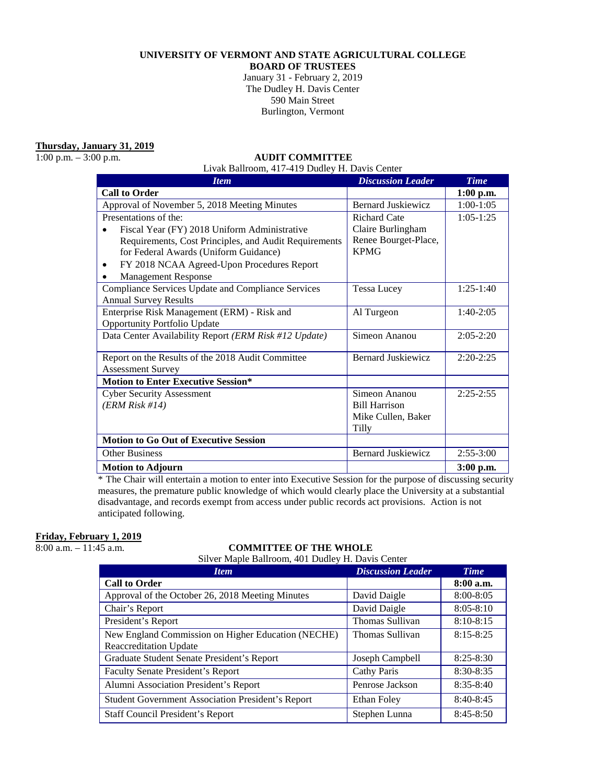### **UNIVERSITY OF VERMONT AND STATE AGRICULTURAL COLLEGE**

**BOARD OF TRUSTEES**

January 31 - February 2, 2019 The Dudley H. Davis Center 590 Main Street Burlington, Vermont

**Thursday, January 31, 2019**

#### 1:00 p.m. – 3:00 p.m. **AUDIT COMMITTEE**

Livak Ballroom, 417-419 Dudley H. Davis Center

| <b>Item</b>                                           | <b>Discussion Leader</b>  | <b>Time</b> |
|-------------------------------------------------------|---------------------------|-------------|
| <b>Call to Order</b>                                  |                           | $1:00$ p.m. |
| Approval of November 5, 2018 Meeting Minutes          | <b>Bernard Juskiewicz</b> | $1:00-1:05$ |
| Presentations of the:                                 | <b>Richard Cate</b>       | $1:05-1:25$ |
| Fiscal Year (FY) 2018 Uniform Administrative          | Claire Burlingham         |             |
| Requirements, Cost Principles, and Audit Requirements | Renee Bourget-Place,      |             |
| for Federal Awards (Uniform Guidance)                 | <b>KPMG</b>               |             |
| FY 2018 NCAA Agreed-Upon Procedures Report<br>٠       |                           |             |
| <b>Management Response</b>                            |                           |             |
| Compliance Services Update and Compliance Services    | <b>Tessa Lucey</b>        | $1:25-1:40$ |
| <b>Annual Survey Results</b>                          |                           |             |
| Enterprise Risk Management (ERM) - Risk and           | Al Turgeon                | $1:40-2:05$ |
| <b>Opportunity Portfolio Update</b>                   |                           |             |
| Data Center Availability Report (ERM Risk #12 Update) | Simeon Ananou             | $2:05-2:20$ |
|                                                       |                           |             |
| Report on the Results of the 2018 Audit Committee     | <b>Bernard Juskiewicz</b> | $2:20-2:25$ |
| <b>Assessment Survey</b>                              |                           |             |
| <b>Motion to Enter Executive Session*</b>             |                           |             |
| <b>Cyber Security Assessment</b>                      | Simeon Ananou             | $2:25-2:55$ |
| (ERM Risk #14)                                        | <b>Bill Harrison</b>      |             |
|                                                       | Mike Cullen, Baker        |             |
|                                                       | Tilly                     |             |
| <b>Motion to Go Out of Executive Session</b>          |                           |             |
| <b>Other Business</b>                                 | <b>Bernard Juskiewicz</b> | $2:55-3:00$ |
| <b>Motion to Adjourn</b>                              |                           | $3:00$ p.m. |

\* The Chair will entertain a motion to enter into Executive Session for the purpose of discussing security measures, the premature public knowledge of which would clearly place the University at a substantial disadvantage, and records exempt from access under public records act provisions. Action is not anticipated following.

# **Friday, February 1, 2019**<br>8:00 a.m. – 11:45 a.m.

#### COMMITTEE OF THE WHOLE

Silver Maple Ballroom, 401 Dudley H. Davis Center

| <b>Item</b>                                              | <b>Discussion Leader</b> | <b>Time</b>   |
|----------------------------------------------------------|--------------------------|---------------|
| <b>Call to Order</b>                                     |                          | $8:00$ a.m.   |
| Approval of the October 26, 2018 Meeting Minutes         | David Daigle             | $8:00 - 8:05$ |
| Chair's Report                                           | David Daigle             | $8:05 - 8:10$ |
| President's Report                                       | Thomas Sullivan          | $8:10-8:15$   |
| New England Commission on Higher Education (NECHE)       | Thomas Sullivan          | $8:15 - 8:25$ |
| <b>Reaccreditation Update</b>                            |                          |               |
| Graduate Student Senate President's Report               | Joseph Campbell          | $8:25 - 8:30$ |
| <b>Faculty Senate President's Report</b>                 | Cathy Paris              | $8:30 - 8:35$ |
| Alumni Association President's Report                    | Penrose Jackson          | $8:35-8:40$   |
| <b>Student Government Association President's Report</b> | Ethan Foley              | $8:40-8:45$   |
| Staff Council President's Report                         | Stephen Lunna            | $8:45-8:50$   |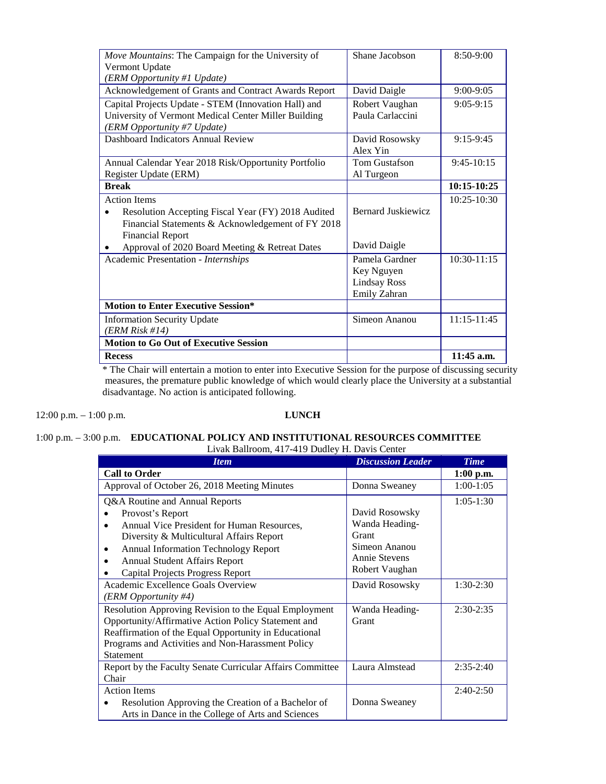| Move Mountains: The Campaign for the University of              | Shane Jacobson      | $8:50-9:00$   |
|-----------------------------------------------------------------|---------------------|---------------|
| Vermont Update                                                  |                     |               |
| (ERM Opportunity #1 Update)                                     |                     |               |
| Acknowledgement of Grants and Contract Awards Report            | David Daigle        | $9:00-9:05$   |
| Capital Projects Update - STEM (Innovation Hall) and            | Robert Vaughan      | $9:05-9:15$   |
| University of Vermont Medical Center Miller Building            | Paula Carlaccini    |               |
| (ERM Opportunity #7 Update)                                     |                     |               |
| Dashboard Indicators Annual Review                              | David Rosowsky      | $9:15-9:45$   |
|                                                                 | Alex Yin            |               |
| Annual Calendar Year 2018 Risk/Opportunity Portfolio            | Tom Gustafson       | $9:45-10:15$  |
| Register Update (ERM)                                           | Al Turgeon          |               |
| <b>Break</b>                                                    |                     | 10:15-10:25   |
| <b>Action Items</b>                                             |                     | $10:25-10:30$ |
| Resolution Accepting Fiscal Year (FY) 2018 Audited<br>$\bullet$ | Bernard Juskiewicz  |               |
| Financial Statements & Acknowledgement of FY 2018               |                     |               |
| <b>Financial Report</b>                                         |                     |               |
| Approval of 2020 Board Meeting & Retreat Dates                  | David Daigle        |               |
| Academic Presentation - Internships                             | Pamela Gardner      | $10:30-11:15$ |
|                                                                 | Key Nguyen          |               |
|                                                                 | <b>Lindsay Ross</b> |               |
|                                                                 | Emily Zahran        |               |
| <b>Motion to Enter Executive Session*</b>                       |                     |               |
| <b>Information Security Update</b>                              | Simeon Ananou       | $11:15-11:45$ |
| (ERM Risk #14)                                                  |                     |               |
| <b>Motion to Go Out of Executive Session</b>                    |                     |               |
| <b>Recess</b>                                                   |                     | 11:45 a.m.    |

\* The Chair will entertain a motion to enter into Executive Session for the purpose of discussing security measures, the premature public knowledge of which would clearly place the University at a substantial disadvantage. No action is anticipated following.

12:00 p.m. – 1:00 p.m. **LUNCH**

# 1:00 p.m. – 3:00 p.m. **EDUCATIONAL POLICY AND INSTITUTIONAL RESOURCES COMMITTEE**  Livak Ballroom, 417-419 Dudley H. Davis Center

| <b>Item</b>                                               | <b>Discussion Leader</b> | <b>Time</b> |
|-----------------------------------------------------------|--------------------------|-------------|
| <b>Call to Order</b>                                      |                          | $1:00$ p.m. |
| Approval of October 26, 2018 Meeting Minutes              | Donna Sweaney            | $1:00-1:05$ |
| Q&A Routine and Annual Reports                            |                          | $1:05-1:30$ |
| Provost's Report                                          | David Rosowsky           |             |
| Annual Vice President for Human Resources,                | Wanda Heading-           |             |
| Diversity & Multicultural Affairs Report                  | Grant                    |             |
| <b>Annual Information Technology Report</b><br>٠          | Simeon Ananou            |             |
| <b>Annual Student Affairs Report</b><br>٠                 | Annie Stevens            |             |
| <b>Capital Projects Progress Report</b>                   | Robert Vaughan           |             |
| Academic Excellence Goals Overview                        | David Rosowsky           | $1:30-2:30$ |
| (ERM Opportunity #4)                                      |                          |             |
| Resolution Approving Revision to the Equal Employment     | Wanda Heading-           | $2:30-2:35$ |
| Opportunity/Affirmative Action Policy Statement and       | Grant                    |             |
| Reaffirmation of the Equal Opportunity in Educational     |                          |             |
| Programs and Activities and Non-Harassment Policy         |                          |             |
| <b>Statement</b>                                          |                          |             |
| Report by the Faculty Senate Curricular Affairs Committee | Laura Almstead           | $2:35-2:40$ |
| Chair                                                     |                          |             |
| <b>Action Items</b>                                       |                          | $2:40-2:50$ |
| Resolution Approving the Creation of a Bachelor of        | Donna Sweaney            |             |
| Arts in Dance in the College of Arts and Sciences         |                          |             |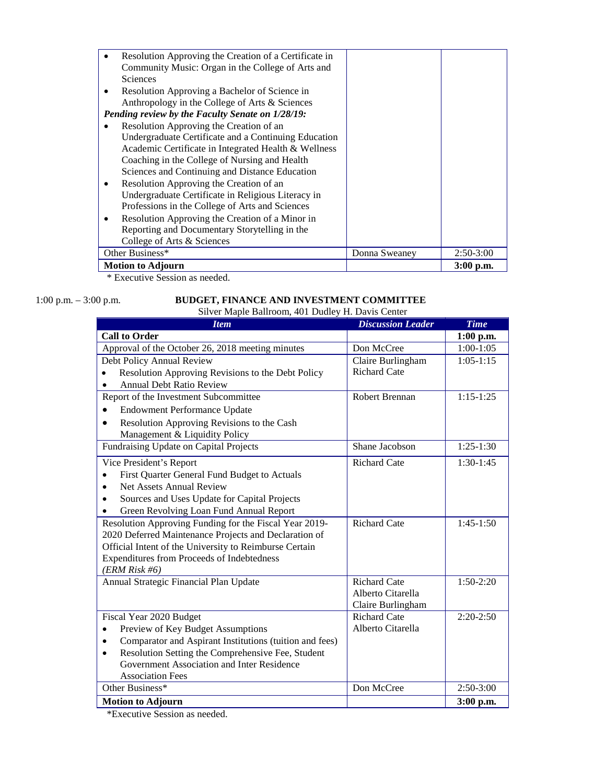| Resolution Approving the Creation of a Certificate in |               |             |
|-------------------------------------------------------|---------------|-------------|
| Community Music: Organ in the College of Arts and     |               |             |
| <b>Sciences</b>                                       |               |             |
| Resolution Approving a Bachelor of Science in         |               |             |
| Anthropology in the College of Arts & Sciences        |               |             |
| Pending review by the Faculty Senate on 1/28/19:      |               |             |
| Resolution Approving the Creation of an               |               |             |
| Undergraduate Certificate and a Continuing Education  |               |             |
| Academic Certificate in Integrated Health & Wellness  |               |             |
| Coaching in the College of Nursing and Health         |               |             |
| Sciences and Continuing and Distance Education        |               |             |
| Resolution Approving the Creation of an<br>٠          |               |             |
| Undergraduate Certificate in Religious Literacy in    |               |             |
| Professions in the College of Arts and Sciences       |               |             |
| Resolution Approving the Creation of a Minor in       |               |             |
| Reporting and Documentary Storytelling in the         |               |             |
| College of Arts & Sciences                            |               |             |
| Other Business*                                       | Donna Sweaney | $2:50-3:00$ |
| <b>Motion to Adjourn</b>                              |               | $3:00$ p.m. |

\* Executive Session as needed.

#### 1:00 p.m. – 3:00 p.m. **BUDGET, FINANCE AND INVESTMENT COMMITTEE** Silver Maple Ballroom, 401 Dudley H. Davis Center

| <b>Item</b>                                                                              | <b>Discussion Leader</b> | <b>Time</b> |
|------------------------------------------------------------------------------------------|--------------------------|-------------|
| <b>Call to Order</b>                                                                     |                          | $1:00$ p.m. |
| Approval of the October 26, 2018 meeting minutes                                         | Don McCree               | $1:00-1:05$ |
| Debt Policy Annual Review                                                                | Claire Burlingham        | $1:05-1:15$ |
| Resolution Approving Revisions to the Debt Policy                                        | Richard Cate             |             |
| <b>Annual Debt Ratio Review</b>                                                          |                          |             |
| Report of the Investment Subcommittee                                                    | Robert Brennan           | $1:15-1:25$ |
| <b>Endowment Performance Update</b>                                                      |                          |             |
| Resolution Approving Revisions to the Cash<br>$\bullet$<br>Management & Liquidity Policy |                          |             |
| Fundraising Update on Capital Projects                                                   | Shane Jacobson           | $1:25-1:30$ |
| Vice President's Report                                                                  | <b>Richard Cate</b>      | $1:30-1:45$ |
| First Quarter General Fund Budget to Actuals                                             |                          |             |
| <b>Net Assets Annual Review</b>                                                          |                          |             |
| Sources and Uses Update for Capital Projects                                             |                          |             |
| Green Revolving Loan Fund Annual Report                                                  |                          |             |
| Resolution Approving Funding for the Fiscal Year 2019-                                   | <b>Richard Cate</b>      | $1:45-1:50$ |
| 2020 Deferred Maintenance Projects and Declaration of                                    |                          |             |
| Official Intent of the University to Reimburse Certain                                   |                          |             |
| Expenditures from Proceeds of Indebtedness                                               |                          |             |
| (ERM Risk #6)                                                                            |                          |             |
| Annual Strategic Financial Plan Update                                                   | <b>Richard Cate</b>      | $1:50-2:20$ |
|                                                                                          | Alberto Citarella        |             |
|                                                                                          | Claire Burlingham        |             |
| Fiscal Year 2020 Budget                                                                  | <b>Richard Cate</b>      | $2:20-2:50$ |
| Preview of Key Budget Assumptions<br>$\bullet$                                           | Alberto Citarella        |             |
| Comparator and Aspirant Institutions (tuition and fees)                                  |                          |             |
| Resolution Setting the Comprehensive Fee, Student<br>$\bullet$                           |                          |             |
| Government Association and Inter Residence                                               |                          |             |
| <b>Association Fees</b>                                                                  |                          |             |
| Other Business*                                                                          | Don McCree               | $2:50-3:00$ |
| <b>Motion to Adjourn</b>                                                                 |                          | 3:00 p.m.   |

\*Executive Session as needed.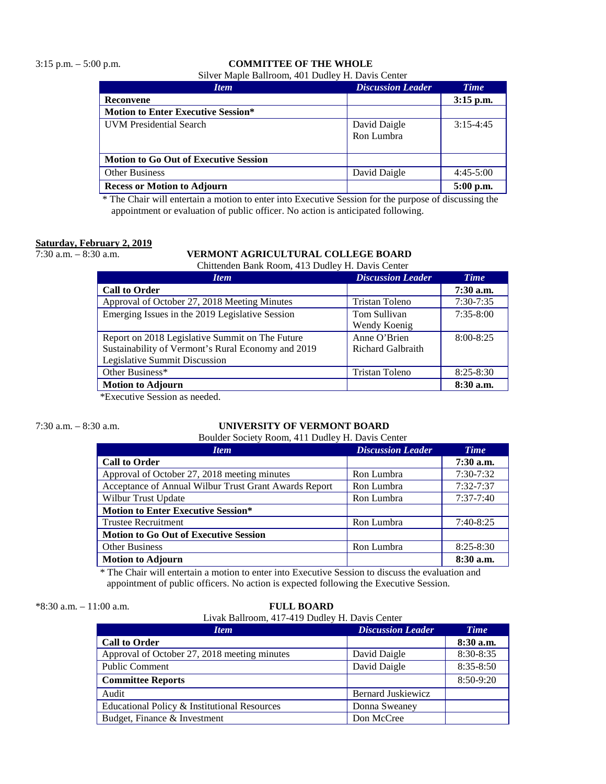# 3:15 p.m. – 5:00 p.m. **COMMITTEE OF THE WHOLE**

Silver Maple Ballroom, 401 Dudley H. Davis Center

| <b>Item</b>                                  | <b>Discussion Leader</b>   | <b>Time</b> |
|----------------------------------------------|----------------------------|-------------|
| Reconvene                                    |                            | $3:15$ p.m. |
| <b>Motion to Enter Executive Session*</b>    |                            |             |
| <b>UVM</b> Presidential Search               | David Daigle<br>Ron Lumbra | $3:15-4:45$ |
| <b>Motion to Go Out of Executive Session</b> |                            |             |
| <b>Other Business</b>                        | David Daigle               | $4:45-5:00$ |
| <b>Recess or Motion to Adjourn</b>           |                            | 5:00 p.m.   |

\* The Chair will entertain a motion to enter into Executive Session for the purpose of discussing the appointment or evaluation of public officer. No action is anticipated following.

# **Saturday, February 2, 2019**

#### 7:30 a.m. – 8:30 a.m. **VERMONT AGRICULTURAL COLLEGE BOARD**

Chittenden Bank Room, 413 Dudley H. Davis Center

| <b>Item</b>                                        | <b>Discussion Leader</b> | <b>Time</b>   |
|----------------------------------------------------|--------------------------|---------------|
| <b>Call to Order</b>                               |                          | $7:30$ a.m.   |
| Approval of October 27, 2018 Meeting Minutes       | Tristan Toleno           | $7:30-7:35$   |
| Emerging Issues in the 2019 Legislative Session    | Tom Sullivan             | $7:35 - 8:00$ |
|                                                    | Wendy Koenig             |               |
| Report on 2018 Legislative Summit on The Future    | Anne O'Brien             | $8:00 - 8:25$ |
| Sustainability of Vermont's Rural Economy and 2019 | Richard Galbraith        |               |
| Legislative Summit Discussion                      |                          |               |
| Other Business*                                    | <b>Tristan Toleno</b>    | $8:25 - 8:30$ |
| <b>Motion to Adjourn</b>                           |                          | $8:30$ a.m.   |

\*Executive Session as needed.

# 7:30 a.m. – 8:30 a.m. **UNIVERSITY OF VERMONT BOARD**

Boulder Society Room, 411 Dudley H. Davis Center

| <b>Item</b>                                           | <b>Discussion Leader</b> | <b>Time</b>   |
|-------------------------------------------------------|--------------------------|---------------|
| <b>Call to Order</b>                                  |                          | $7:30$ a.m.   |
| Approval of October 27, 2018 meeting minutes          | Ron Lumbra               | $7:30 - 7:32$ |
| Acceptance of Annual Wilbur Trust Grant Awards Report | Ron Lumbra               | 7:32-7:37     |
| <b>Wilbur Trust Update</b>                            | Ron Lumbra               | $7:37-7:40$   |
| <b>Motion to Enter Executive Session*</b>             |                          |               |
| <b>Trustee Recruitment</b>                            | Ron Lumbra               | $7:40-8:25$   |
| <b>Motion to Go Out of Executive Session</b>          |                          |               |
| <b>Other Business</b>                                 | Ron Lumbra               | $8:25 - 8:30$ |
| <b>Motion to Adjourn</b>                              |                          | 8:30 a.m.     |

\* The Chair will entertain a motion to enter into Executive Session to discuss the evaluation and appointment of public officers. No action is expected following the Executive Session.

| $*8:30$ a.m. $-$ |  | $11:00$ a.m. |
|------------------|--|--------------|
|                  |  |              |

#### $FLILL BOARD$

| Livak Ballroom, 417-419 Dudley H. Davis Center |  |
|------------------------------------------------|--|
|------------------------------------------------|--|

| <i>Item</i>                                  | <b>Discussion Leader</b>  | <b>Time</b>   |
|----------------------------------------------|---------------------------|---------------|
| <b>Call to Order</b>                         |                           | $8:30$ a.m.   |
| Approval of October 27, 2018 meeting minutes | David Daigle              | 8:30-8:35     |
| <b>Public Comment</b>                        | David Daigle              | $8:35 - 8:50$ |
| <b>Committee Reports</b>                     |                           | 8:50-9:20     |
| Audit                                        | <b>Bernard Juskiewicz</b> |               |
| Educational Policy & Institutional Resources | Donna Sweaney             |               |
| Budget, Finance & Investment                 | Don McCree                |               |